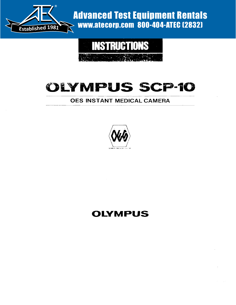

Advanced Test Equipment Rentals www.atecorp.com 800-404-ATEC (2832)



# OLYMPUS SCP-10

### **OES INSTANT MEDICAL CAMERA**



## **OLYMPUS**